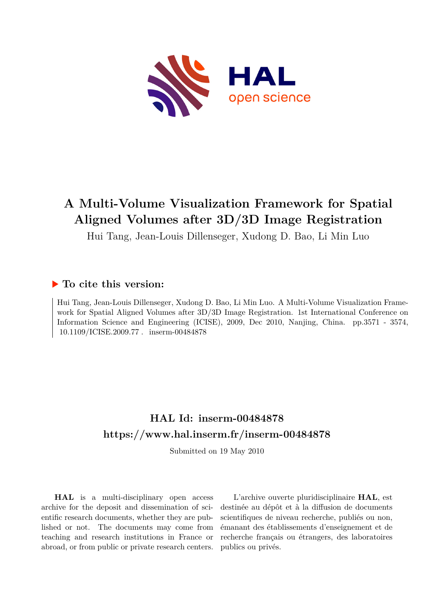

## **A Multi-Volume Visualization Framework for Spatial Aligned Volumes after 3D/3D Image Registration**

Hui Tang, Jean-Louis Dillenseger, Xudong D. Bao, Li Min Luo

### **To cite this version:**

Hui Tang, Jean-Louis Dillenseger, Xudong D. Bao, Li Min Luo. A Multi-Volume Visualization Framework for Spatial Aligned Volumes after 3D/3D Image Registration. 1st International Conference on Information Science and Engineering (ICISE), 2009, Dec 2010, Nanjing, China. pp.3571 - 3574, 10.1109/ICISE.2009.77 . inserm-00484878

## **HAL Id: inserm-00484878 <https://www.hal.inserm.fr/inserm-00484878>**

Submitted on 19 May 2010

**HAL** is a multi-disciplinary open access archive for the deposit and dissemination of scientific research documents, whether they are published or not. The documents may come from teaching and research institutions in France or abroad, or from public or private research centers.

L'archive ouverte pluridisciplinaire **HAL**, est destinée au dépôt et à la diffusion de documents scientifiques de niveau recherche, publiés ou non, émanant des établissements d'enseignement et de recherche français ou étrangers, des laboratoires publics ou privés.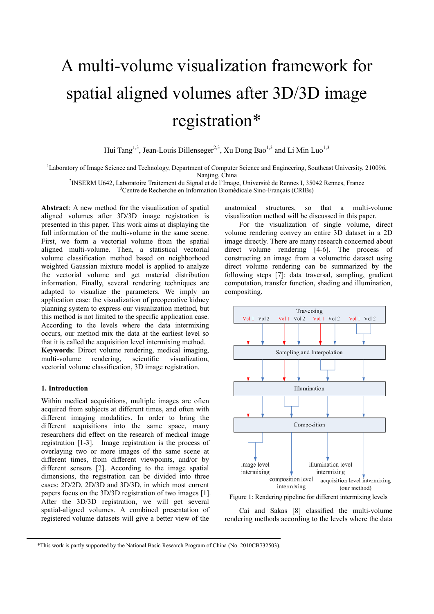# A multi-volume visualization framework for spatial aligned volumes after 3D/3D image registration\*

Hui Tang<sup>1,3</sup>, Jean-Louis Dillenseger<sup>2,3</sup>, Xu Dong Bao<sup>1,3</sup> and Li Min Luo<sup>1,3</sup>

<sup>1</sup>Laboratory of Image Science and Technology, Department of Computer Science and Engineering, Southeast University, 210096, Nanjing, China<br><sup>2</sup>INISERM U.642, Leberateire Traitement du Siemal et de l'Image

INSERM U642, Laboratoire Traitement du Signal et de l'Image, Université de Rennes I, 35042 Rennes, France

Centre de Recherche en Information Biomédicale Sino-Français (CRIBs)

**Abstract**: A new method for the visualization of spatial aligned volumes after 3D/3D image registration is presented in this paper. This work aims at displaying the full information of the multi-volume in the same scene. First, we form a vectorial volume from the spatial aligned multi-volume. Then, a statistical vectorial volume classification method based on neighborhood weighted Gaussian mixture model is applied to analyze the vectorial volume and get material distribution information. Finally, several rendering techniques are adapted to visualize the parameters. We imply an application case: the visualization of preoperative kidney planning system to express our visualization method, but this method is not limited to the specific application case. According to the levels where the data intermixing occurs, our method mix the data at the earliest level so that it is called the acquisition level intermixing method. **Keywords**: Direct volume rendering, medical imaging, multi-volume rendering, scientific visualization, vectorial volume classification, 3D image registration.

#### **1. Introduction**

Within medical acquisitions, multiple images are often acquired from subjects at different times, and often with different imaging modalities. In order to bring the different acquisitions into the same space, many researchers did effect on the research of medical image registration [1-3]. Image registration is the process of overlaying two or more images of the same scene at different times, from different viewpoints, and/or by different sensors [2]. According to the image spatial dimensions, the registration can be divided into three cases: 2D/2D, 2D/3D and 3D/3D, in which most current papers focus on the 3D/3D registration of two images [1]. After the 3D/3D registration, we will get several spatial-aligned volumes. A combined presentation of registered volume datasets will give a better view of the

anatomical structures, so that a multi-volume visualization method will be discussed in this paper.

For the visualization of single volume, direct volume rendering convey an entire 3D dataset in a 2D image directly. There are many research concerned about direct volume rendering [4-6]. The process of constructing an image from a volumetric dataset using direct volume rendering can be summarized by the following steps [7]: data traversal, sampling, gradient computation, transfer function, shading and illumination, compositing.





Cai and Sakas [8] classified the multi-volume rendering methods according to the levels where the data

<sup>\*</sup>This work is partly supported by the National Basic Research Program of China (No. 2010CB732503).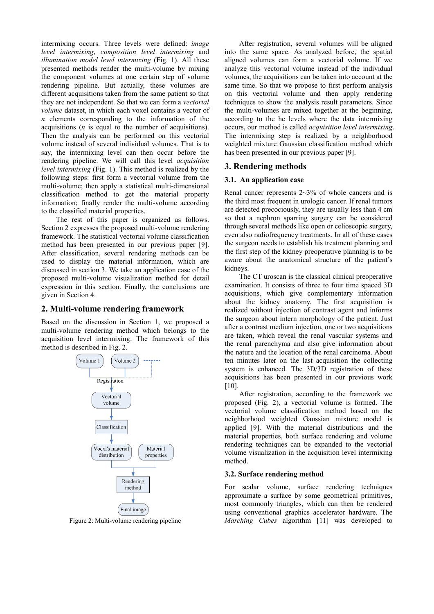intermixing occurs. Three levels were defined: *image level intermixing*, *composition level intermixing* and *illumination model level intermixing* (Fig. 1). All these presented methods render the multi-volume by mixing the component volumes at one certain step of volume rendering pipeline. But actually, these volumes are different acquisitions taken from the same patient so that they are not independent. So that we can form a *vectorial volume* dataset, in which each voxel contains a vector of *n* elements corresponding to the information of the acquisitions (*n* is equal to the number of acquisitions). Then the analysis can be performed on this vectorial volume instead of several individual volumes. That is to say, the intermixing level can then occur before the rendering pipeline. We will call this level *acquisition level intermixing* (Fig. 1). This method is realized by the following steps: first form a vectorial volume from the multi-volume; then apply a statistical multi-dimensional classification method to get the material property information; finally render the multi-volume according to the classified material properties.

The rest of this paper is organized as follows. Section 2 expresses the proposed multi-volume rendering framework. The statistical vectorial volume classification method has been presented in our previous paper [9]. After classification, several rendering methods can be used to display the material information, which are discussed in section 3. We take an application case of the proposed multi-volume visualization method for detail expression in this section. Finally, the conclusions are given in Section 4.

#### **2. Multi-volume rendering framework**

Based on the discussion in Section 1, we proposed a multi-volume rendering method which belongs to the acquisition level intermixing. The framework of this method is described in Fig. 2.



Figure 2: Multi-volume rendering pipeline

After registration, several volumes will be aligned into the same space. As analyzed before, the spatial aligned volumes can form a vectorial volume. If we analyze this vectorial volume instead of the individual volumes, the acquisitions can be taken into account at the same time. So that we propose to first perform analysis on this vectorial volume and then apply rendering techniques to show the analysis result parameters. Since the multi-volumes are mixed together at the beginning, according to the he levels where the data intermixing occurs, our method is called *acquisition level intermixing*. The intermixing step is realized by a neighborhood weighted mixture Gaussian classification method which has been presented in our previous paper [9].

#### **3. Rendering methods**

#### **3.1. An application case**

Renal cancer represents  $2 \sim 3\%$  of whole cancers and is the third most frequent in urologic cancer. If renal tumors are detected precociously, they are usually less than 4 cm so that a nephron sparring surgery can be considered through several methods like open or celioscopic surgery, even also radiofrequency treatments. In all of these cases the surgeon needs to establish his treatment planning and the first step of the kidney preoperative planning is to be aware about the anatomical structure of the patient's kidneys.

The CT uroscan is the classical clinical preoperative examination. It consists of three to four time spaced 3D acquisitions, which give complementary information about the kidney anatomy. The first acquisition is realized without injection of contrast agent and informs the surgeon about intern morphology of the patient. Just after a contrast medium injection, one or two acquisitions are taken, which reveal the renal vascular systems and the renal parenchyma and also give information about the nature and the location of the renal carcinoma. About ten minutes later on the last acquisition the collecting system is enhanced. The 3D/3D registration of these acquisitions has been presented in our previous work [10].

After registration, according to the framework we proposed (Fig. 2), a vectorial volume is formed. The vectorial volume classification method based on the neighborhood weighted Gaussian mixture model is applied [9]. With the material distributions and the material properties, both surface rendering and volume rendering techniques can be expanded to the vectorial volume visualization in the acquisition level intermixing method.

#### **3.2. Surface rendering method**

For scalar volume, surface rendering techniques approximate a surface by some geometrical primitives, most commonly triangles, which can then be rendered using conventional graphics accelerator hardware. The *Marching Cubes* algorithm [11] was developed to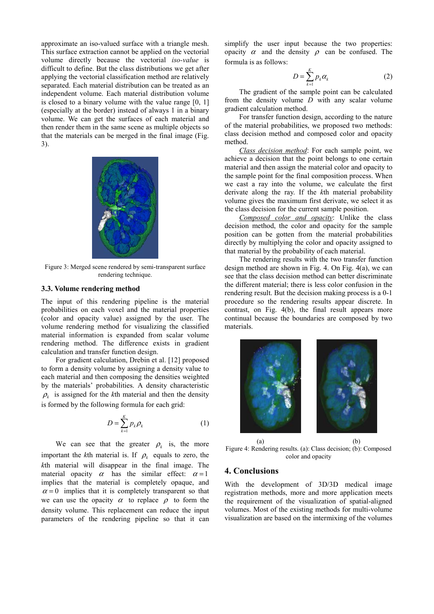approximate an iso-valued surface with a triangle mesh. This surface extraction cannot be applied on the vectorial volume directly because the vectorial *iso-value* is difficult to define. But the class distributions we get after applying the vectorial classification method are relatively separated. Each material distribution can be treated as an independent volume. Each material distribution volume is closed to a binary volume with the value range [0, 1] (especially at the border) instead of always 1 in a binary volume. We can get the surfaces of each material and then render them in the same scene as multiple objects so that the materials can be merged in the final image (Fig. 3).



Figure 3: Merged scene rendered by semi-transparent surface rendering technique.

#### **3.3. Volume rendering method**

The input of this rendering pipeline is the material probabilities on each voxel and the material properties (color and opacity value) assigned by the user. The volume rendering method for visualizing the classified material information is expanded from scalar volume rendering method. The difference exists in gradient calculation and transfer function design.

For gradient calculation, Drebin et al. [12] proposed to form a density volume by assigning a density value to each material and then composing the densities weighted by the materials' probabilities. A density characteristic  $\rho_k$  is assigned for the *k*th material and then the density is formed by the following formula for each grid:

$$
D = \sum_{k=1}^{K} p_k \rho_k \tag{1}
$$

We can see that the greater  $\rho_k$  is, the more important the *k*th material is. If  $\rho_k$  equals to zero, the *k*th material will disappear in the final image. The material opacity  $\alpha$  has the similar effect:  $\alpha = 1$ implies that the material is completely opaque, and  $\alpha = 0$  implies that it is completely transparent so that we can use the opacity  $\alpha$  to replace  $\rho$  to form the density volume. This replacement can reduce the input parameters of the rendering pipeline so that it can simplify the user input because the two properties: opacity  $\alpha$  and the density  $\rho$  can be confused. The formula is as follows:

$$
D = \sum_{k=1}^{K} p_k \alpha_k \tag{2}
$$

The gradient of the sample point can be calculated from the density volume *D* with any scalar volume gradient calculation method.

For transfer function design, according to the nature of the material probabilities, we proposed two methods: class decision method and composed color and opacity method.

*Class decision method*: For each sample point, we achieve a decision that the point belongs to one certain material and then assign the material color and opacity to the sample point for the final composition process. When we cast a ray into the volume, we calculate the first derivate along the ray. If the *k*th material probability volume gives the maximum first derivate, we select it as the class decision for the current sample position.

*Composed color and opacity*: Unlike the class decision method, the color and opacity for the sample position can be gotten from the material probabilities directly by multiplying the color and opacity assigned to that material by the probability of each material.

The rendering results with the two transfer function design method are shown in Fig. 4. On Fig. 4(a), we can see that the class decision method can better discriminate the different material; there is less color confusion in the rendering result. But the decision making process is a 0-1 procedure so the rendering results appear discrete. In contrast, on Fig. 4(b), the final result appears more continual because the boundaries are composed by two materials.



Figure 4: Rendering results. (a): Class decision; (b): Composed color and opacity

#### **4. Conclusions**

With the development of 3D/3D medical image registration methods, more and more application meets the requirement of the visualization of spatial-aligned volumes. Most of the existing methods for multi-volume visualization are based on the intermixing of the volumes